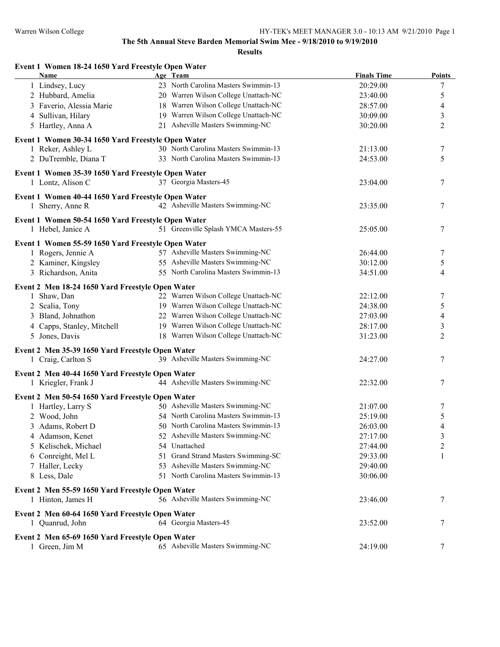| Event 1 Women 18-24 1650 Yard Freestyle Open Water<br>Name               | Age Team                                                                     | <b>Finals Time</b> | <b>Points</b>                    |
|--------------------------------------------------------------------------|------------------------------------------------------------------------------|--------------------|----------------------------------|
| 1 Lindsey, Lucy                                                          | 23 North Carolina Masters Swimmin-13                                         | 20:29.00           | 7                                |
| 2 Hubbard, Amelia                                                        | 20 Warren Wilson College Unattach-NC                                         | 23:40.00           | 5                                |
| 3 Faverio, Alessia Marie                                                 | 18 Warren Wilson College Unattach-NC                                         | 28:57.00           | 4                                |
| 4 Sullivan, Hilary                                                       | 19 Warren Wilson College Unattach-NC                                         | 30:09.00           | 3                                |
| 5 Hartley, Anna A                                                        | 21 Asheville Masters Swimming-NC                                             | 30:20.00           | $\overline{2}$                   |
| Event 1 Women 30-34 1650 Yard Freestyle Open Water                       |                                                                              |                    |                                  |
| 1 Reker, Ashley L                                                        | 30 North Carolina Masters Swimmin-13                                         | 21:13.00           | 7                                |
| 2 DuTremble, Diana T                                                     | 33 North Carolina Masters Swimmin-13                                         | 24:53.00           | 5                                |
| Event 1 Women 35-39 1650 Yard Freestyle Open Water                       |                                                                              |                    |                                  |
| 1 Lontz, Alison C                                                        | 37 Georgia Masters-45                                                        | 23:04.00           | 7                                |
| Event 1 Women 40-44 1650 Yard Freestyle Open Water                       |                                                                              |                    |                                  |
| 1 Sherry, Anne R                                                         | 42 Asheville Masters Swimming-NC                                             | 23:35.00           | 7                                |
| Event 1 Women 50-54 1650 Yard Freestyle Open Water                       |                                                                              |                    |                                  |
| 1 Hebel, Janice A                                                        | 51 Greenville Splash YMCA Masters-55                                         | 25:05.00           | 7                                |
|                                                                          |                                                                              |                    |                                  |
| Event 1 Women 55-59 1650 Yard Freestyle Open Water<br>1 Rogers, Jennie A | 57 Asheville Masters Swimming-NC                                             | 26:44.00           | 7                                |
| 2 Kaminer, Kingsley                                                      | 55 Asheville Masters Swimming-NC                                             | 30:12.00           | 5                                |
| 3 Richardson, Anita                                                      | 55 North Carolina Masters Swimmin-13                                         | 34:51.00           | $\overline{4}$                   |
|                                                                          |                                                                              |                    |                                  |
| Event 2 Men 18-24 1650 Yard Freestyle Open Water                         | 22 Warren Wilson College Unattach-NC                                         |                    |                                  |
| 1 Shaw, Dan                                                              | 19 Warren Wilson College Unattach-NC                                         | 22:12.00           | 7                                |
| 2 Scalia, Tony                                                           |                                                                              | 24:38.00           | 5                                |
| 3 Bland, Johnathon                                                       | 22 Warren Wilson College Unattach-NC                                         | 27:03.00           | 4                                |
| 4 Capps, Stanley, Mitchell                                               | 19 Warren Wilson College Unattach-NC<br>18 Warren Wilson College Unattach-NC | 28:17.00           | $\mathfrak{Z}$<br>$\overline{2}$ |
| 5 Jones, Davis                                                           |                                                                              | 31:23.00           |                                  |
| Event 2 Men 35-39 1650 Yard Freestyle Open Water                         |                                                                              |                    |                                  |
| 1 Craig, Carlton S                                                       | 39 Asheville Masters Swimming-NC                                             | 24:27.00           | 7                                |
| Event 2 Men 40-44 1650 Yard Freestyle Open Water                         |                                                                              |                    |                                  |
| 1 Kriegler, Frank J                                                      | 44 Asheville Masters Swimming-NC                                             | 22:32.00           | 7                                |
| Event 2 Men 50-54 1650 Yard Freestyle Open Water                         |                                                                              |                    |                                  |
| 1 Hartley, Larry S                                                       | 50 Asheville Masters Swimming-NC                                             | 21:07.00           | 7                                |
| 2 Wood, John                                                             | 54 North Carolina Masters Swimmin-13                                         | 25:19.00           | 5                                |
| 3 Adams, Robert D                                                        | 50 North Carolina Masters Swimmin-13                                         | 26:03.00           | $\overline{4}$                   |
| 4 Adamson, Kenet                                                         | 52 Asheville Masters Swimming-NC                                             | 27:17.00           | 3                                |
| 5 Kelischek, Michael                                                     | 54 Unattached                                                                | 27:44.00           | 2                                |
| 6 Conreight, Mel L                                                       | 51 Grand Strand Masters Swimming-SC                                          | 29:33.00           | 1                                |
| 7 Haller, Lecky                                                          | 53 Asheville Masters Swimming-NC                                             | 29:40.00           |                                  |
| 8 Less, Dale                                                             | 51 North Carolina Masters Swimmin-13                                         | 30:06.00           |                                  |
| Event 2 Men 55-59 1650 Yard Freestyle Open Water                         |                                                                              |                    |                                  |
| 1 Hinton, James H                                                        | 56 Asheville Masters Swimming-NC                                             | 23:46.00           | 7                                |
| Event 2 Men 60-64 1650 Yard Freestyle Open Water                         |                                                                              |                    |                                  |
| 1 Quanrud, John                                                          | 64 Georgia Masters-45                                                        | 23:52.00           | 7                                |
| Event 2 Men 65-69 1650 Yard Freestyle Open Water                         |                                                                              |                    |                                  |
| 1 Green, Jim M                                                           | 65 Asheville Masters Swimming-NC                                             | 24:19.00           | 7                                |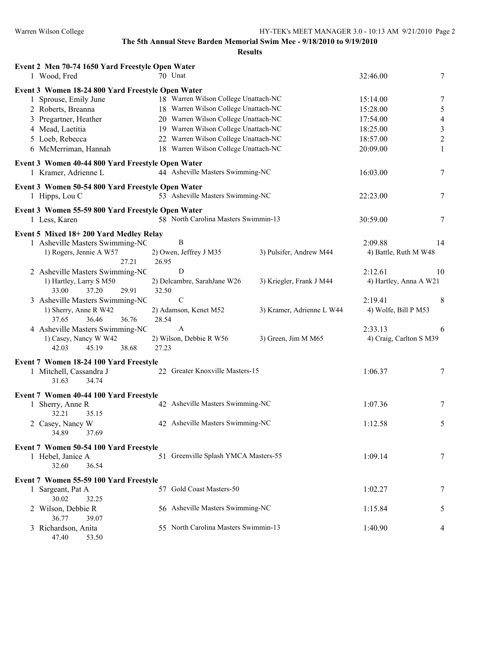| Event 2 Men 70-74 1650 Yard Freestyle Open Water                          |       |                                      |                           |                         |                          |
|---------------------------------------------------------------------------|-------|--------------------------------------|---------------------------|-------------------------|--------------------------|
| 1 Wood, Fred                                                              |       | 70 Unat                              |                           | 32:46.00                | 7                        |
| Event 3 Women 18-24 800 Yard Freestyle Open Water                         |       |                                      |                           |                         |                          |
| 1 Sprouse, Emily June                                                     |       | 18 Warren Wilson College Unattach-NC |                           | 15:14.00                | 7                        |
| 2 Roberts, Breanna                                                        |       | 18 Warren Wilson College Unattach-NC |                           | 15:28.00                | 5                        |
| 3 Pregartner, Heather                                                     |       | 20 Warren Wilson College Unattach-NC |                           | 17:54.00                | $\overline{\mathcal{A}}$ |
| 4 Mead, Laetitia                                                          |       | 19 Warren Wilson College Unattach-NC |                           | 18:25.00                | $\mathfrak{Z}$           |
| 5 Loeb, Rebecca                                                           |       | 22 Warren Wilson College Unattach-NC |                           | 18:57.00                | $\sqrt{2}$               |
| 6 McMerriman, Hannah                                                      |       | 18 Warren Wilson College Unattach-NC |                           | 20:09.00                | 1                        |
|                                                                           |       |                                      |                           |                         |                          |
| Event 3 Women 40-44 800 Yard Freestyle Open Water<br>1 Kramer, Adrienne L |       | 44 Asheville Masters Swimming-NC     |                           | 16:03.00                | 7                        |
| Event 3 Women 50-54 800 Yard Freestyle Open Water                         |       |                                      |                           |                         |                          |
| 1 Hipps, Lou C                                                            |       | 53 Asheville Masters Swimming-NC     |                           | 22:23.00                | 7                        |
| Event 3 Women 55-59 800 Yard Freestyle Open Water                         |       |                                      |                           |                         |                          |
| 1 Less, Karen                                                             |       | 58 North Carolina Masters Swimmin-13 |                           | 30:59.00                | 7                        |
|                                                                           |       |                                      |                           |                         |                          |
| Event 5 Mixed 18+200 Yard Medley Relay                                    |       |                                      |                           |                         |                          |
| 1 Asheville Masters Swimming-NC                                           |       | $\, {\bf B}$                         |                           | 2:09.88                 | 14                       |
| 1) Rogers, Jennie A W57                                                   |       | 2) Owen, Jeffrey J M35               | 3) Pulsifer, Andrew M44   | 4) Battle, Ruth M W48   |                          |
| 27.21                                                                     | 26.95 | D                                    |                           |                         |                          |
| 2 Asheville Masters Swimming-NC                                           |       |                                      |                           | 2:12.61                 | 10                       |
| 1) Hartley, Larry S M50                                                   |       | 2) Delcambre, SarahJane W26          | 3) Kriegler, Frank J M44  | 4) Hartley, Anna A W21  |                          |
| 29.91<br>33.00<br>37.20                                                   | 32.50 |                                      |                           |                         |                          |
| 3 Asheville Masters Swimming-NC                                           |       | $\mathcal{C}$                        |                           | 2:19.41                 | 8                        |
| 1) Sherry, Anne R W42                                                     |       | 2) Adamson, Kenet M52                | 3) Kramer, Adrienne L W44 | 4) Wolfe, Bill P M53    |                          |
| 36.46<br>36.76<br>37.65                                                   | 28.54 |                                      |                           |                         |                          |
| 4 Asheville Masters Swimming-NC                                           |       | $\boldsymbol{A}$                     |                           | 2:33.13                 | 6                        |
| 1) Casey, Nancy W W42<br>42.03<br>45.19<br>38.68                          | 27.23 | 2) Wilson, Debbie R W56              | 3) Green, Jim M M65       | 4) Craig, Carlton S M39 |                          |
|                                                                           |       |                                      |                           |                         |                          |
| Event 7 Women 18-24 100 Yard Freestyle                                    |       |                                      |                           |                         |                          |
| 1 Mitchell, Cassandra J                                                   |       | 22 Greater Knoxville Masters-15      |                           | 1:06.37                 | 7                        |
| 31.63<br>34.74                                                            |       |                                      |                           |                         |                          |
| Event 7 Women 40-44 100 Yard Freestyle                                    |       |                                      |                           |                         |                          |
| 1 Sherry, Anne R                                                          |       | 42 Asheville Masters Swimming-NC     |                           | 1:07.36                 | 7                        |
| 32.21<br>35.15                                                            |       |                                      |                           |                         |                          |
| 2 Casey, Nancy W                                                          |       | 42 Asheville Masters Swimming-NC     |                           | 1:12.58                 | 5                        |
| 34.89<br>37.69                                                            |       |                                      |                           |                         |                          |
|                                                                           |       |                                      |                           |                         |                          |
| Event 7 Women 50-54 100 Yard Freestyle<br>1 Hebel, Janice A               |       | 51 Greenville Splash YMCA Masters-55 |                           | 1:09.14                 | 7                        |
| 32.60<br>36.54                                                            |       |                                      |                           |                         |                          |
|                                                                           |       |                                      |                           |                         |                          |
| Event 7 Women 55-59 100 Yard Freestyle                                    |       |                                      |                           |                         |                          |
| 1 Sargeant, Pat A                                                         |       | 57 Gold Coast Masters-50             |                           | 1:02.27                 | 7                        |
| 30.02<br>32.25                                                            |       |                                      |                           |                         |                          |
| 2 Wilson, Debbie R                                                        |       | 56 Asheville Masters Swimming-NC     |                           | 1:15.84                 | 5                        |
| 36.77<br>39.07                                                            |       |                                      |                           |                         |                          |
| 3 Richardson, Anita                                                       |       | 55 North Carolina Masters Swimmin-13 |                           | 1:40.90                 | 4                        |
| 47.40<br>53.50                                                            |       |                                      |                           |                         |                          |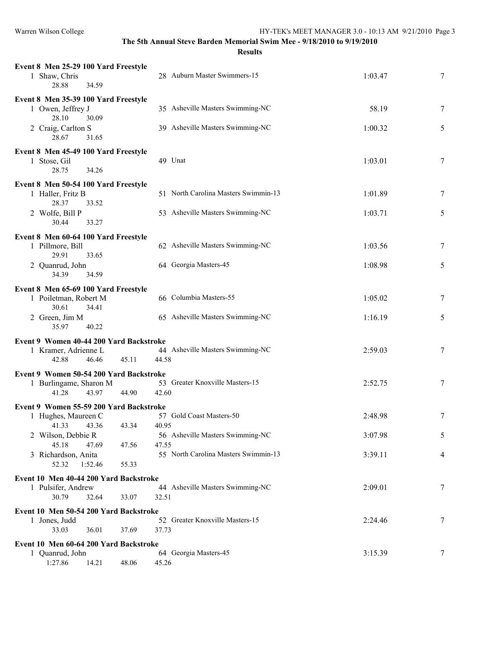| Event 8 Men 25-29 100 Yard Freestyle                              |                                           |         |   |
|-------------------------------------------------------------------|-------------------------------------------|---------|---|
| 1 Shaw, Chris                                                     | 28 Auburn Master Swimmers-15              | 1:03.47 | 7 |
| 28.88<br>34.59                                                    |                                           |         |   |
| Event 8 Men 35-39 100 Yard Freestyle                              |                                           |         |   |
| 1 Owen, Jeffrey J                                                 | 35 Asheville Masters Swimming-NC          | 58.19   | 7 |
| 28.10<br>30.09                                                    |                                           |         |   |
| 2 Craig, Carlton S<br>28.67<br>31.65                              | 39 Asheville Masters Swimming-NC          | 1:00.32 | 5 |
|                                                                   |                                           |         |   |
| Event 8 Men 45-49 100 Yard Freestyle<br>1 Stose, Gil              | 49 Unat                                   | 1:03.01 | 7 |
| 28.75<br>34.26                                                    |                                           |         |   |
| Event 8 Men 50-54 100 Yard Freestyle                              |                                           |         |   |
| 1 Haller, Fritz B                                                 | 51 North Carolina Masters Swimmin-13      | 1:01.89 | 7 |
| 28.37<br>33.52                                                    |                                           |         |   |
| 2 Wolfe, Bill P                                                   | 53 Asheville Masters Swimming-NC          | 1:03.71 | 5 |
| 30.44<br>33.27                                                    |                                           |         |   |
| Event 8 Men 60-64 100 Yard Freestyle                              |                                           |         |   |
| 1 Pillmore, Bill<br>29.91<br>33.65                                | 62 Asheville Masters Swimming-NC          | 1:03.56 | 7 |
| 2 Quanrud, John                                                   | 64 Georgia Masters-45                     | 1:08.98 | 5 |
| 34.39<br>34.59                                                    |                                           |         |   |
| Event 8 Men 65-69 100 Yard Freestyle                              |                                           |         |   |
| 1 Poiletman, Robert M                                             | 66 Columbia Masters-55                    | 1:05.02 | 7 |
| 30.61<br>34.41                                                    |                                           |         |   |
| 2 Green, Jim M<br>35.97                                           | 65 Asheville Masters Swimming-NC          | 1:16.19 | 5 |
| 40.22                                                             |                                           |         |   |
| Event 9 Women 40-44 200 Yard Backstroke                           |                                           |         |   |
| 1 Kramer, Adrienne L<br>42.88<br>46.46<br>45.11                   | 44 Asheville Masters Swimming-NC<br>44.58 | 2:59.03 | 7 |
|                                                                   |                                           |         |   |
| Event 9 Women 50-54 200 Yard Backstroke<br>1 Burlingame, Sharon M | 53 Greater Knoxville Masters-15           | 2:52.75 | 7 |
| 41.28<br>43.97<br>44.90                                           | 42.60                                     |         |   |
| Event 9 Women 55-59 200 Yard Backstroke                           |                                           |         |   |
| 1 Hughes, Maureen C                                               | 57 Gold Coast Masters-50                  | 2:48.98 | 7 |
| 43.34 40.95<br>41.33 43.36                                        |                                           |         |   |
| 2 Wilson, Debbie R                                                | 56 Asheville Masters Swimming-NC          | 3:07.98 | 5 |
| 45.18<br>47.69<br>47.56                                           | 47.55                                     |         |   |
| 3 Richardson, Anita<br>52.32<br>1:52.46<br>55.33                  | 55 North Carolina Masters Swimmin-13      | 3:39.11 | 4 |
|                                                                   |                                           |         |   |
| Event 10 Men 40-44 200 Yard Backstroke<br>1 Pulsifer, Andrew      | 44 Asheville Masters Swimming-NC          | 2:09.01 | 7 |
| 30.79<br>33.07<br>32.64                                           | 32.51                                     |         |   |
| Event 10 Men 50-54 200 Yard Backstroke                            |                                           |         |   |
| 1 Jones, Judd                                                     | 52 Greater Knoxville Masters-15           | 2:24.46 | 7 |
| 33.03<br>36.01<br>37.69                                           | 37.73                                     |         |   |
| Event 10 Men 60-64 200 Yard Backstroke                            |                                           |         |   |
| 1 Quanrud, John                                                   | 64 Georgia Masters-45                     | 3:15.39 | 7 |
| 1:27.86<br>14.21<br>48.06                                         | 45.26                                     |         |   |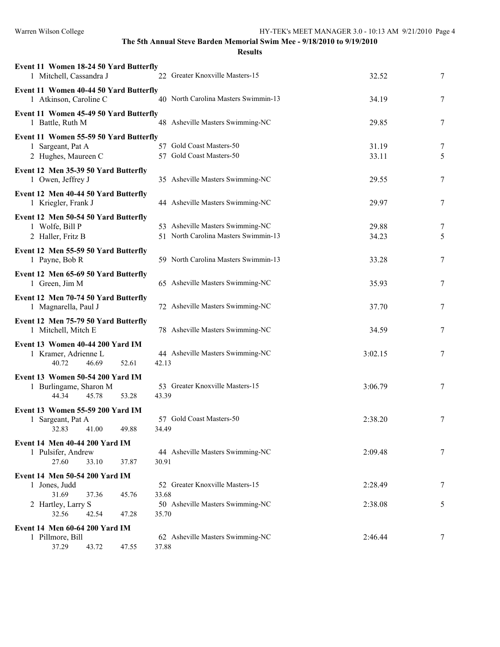| Event 11 Women 18-24 50 Yard Butterfly<br>1 Mitchell, Cassandra J | 22 Greater Knoxville Masters-15      | 32.52   | 7 |
|-------------------------------------------------------------------|--------------------------------------|---------|---|
| Event 11 Women 40-44 50 Yard Butterfly<br>1 Atkinson, Caroline C  | 40 North Carolina Masters Swimmin-13 | 34.19   | 7 |
| Event 11 Women 45-49 50 Yard Butterfly<br>1 Battle, Ruth M        | 48 Asheville Masters Swimming-NC     | 29.85   | 7 |
| Event 11 Women 55-59 50 Yard Butterfly                            |                                      |         |   |
| 1 Sargeant, Pat A                                                 | 57 Gold Coast Masters-50             | 31.19   | 7 |
| 2 Hughes, Maureen C                                               | 57 Gold Coast Masters-50             | 33.11   | 5 |
| Event 12 Men 35-39 50 Yard Butterfly<br>1 Owen, Jeffrey J         | 35 Asheville Masters Swimming-NC     | 29.55   | 7 |
| Event 12 Men 40-44 50 Yard Butterfly                              |                                      |         |   |
| 1 Kriegler, Frank J                                               | 44 Asheville Masters Swimming-NC     | 29.97   | 7 |
| Event 12 Men 50-54 50 Yard Butterfly                              |                                      |         |   |
| 1 Wolfe, Bill P                                                   | 53 Asheville Masters Swimming-NC     | 29.88   | 7 |
| 2 Haller, Fritz B                                                 | 51 North Carolina Masters Swimmin-13 | 34.23   | 5 |
| Event 12 Men 55-59 50 Yard Butterfly                              |                                      |         |   |
| 1 Payne, Bob R                                                    | 59 North Carolina Masters Swimmin-13 | 33.28   | 7 |
| Event 12 Men 65-69 50 Yard Butterfly                              |                                      |         |   |
| 1 Green, Jim M                                                    | 65 Asheville Masters Swimming-NC     | 35.93   | 7 |
| Event 12 Men 70-74 50 Yard Butterfly<br>1 Magnarella, Paul J      | 72 Asheville Masters Swimming-NC     | 37.70   | 7 |
| Event 12 Men 75-79 50 Yard Butterfly<br>1 Mitchell, Mitch E       | 78 Asheville Masters Swimming-NC     | 34.59   | 7 |
| Event 13 Women 40-44 200 Yard IM                                  |                                      |         |   |
| 1 Kramer, Adrienne L                                              | 44 Asheville Masters Swimming-NC     | 3:02.15 | 7 |
| 40.72<br>46.69                                                    | 42.13<br>52.61                       |         |   |
| Event 13 Women 50-54 200 Yard IM                                  |                                      |         |   |
| 1 Burlingame, Sharon M                                            | 53 Greater Knoxville Masters-15      | 3:06.79 | 7 |
| 44.34<br>45.78                                                    | 53.28<br>43.39                       |         |   |
| Event 13 Women 55-59 200 Yard IM                                  |                                      |         |   |
| 1 Sargeant, Pat A                                                 | 57 Gold Coast Masters-50             | 2:38.20 | 7 |
| 32.83<br>41.00                                                    | 49.88<br>34.49                       |         |   |
| <b>Event 14 Men 40-44 200 Yard IM</b>                             |                                      |         |   |
| 1 Pulsifer, Andrew                                                | 44 Asheville Masters Swimming-NC     | 2:09.48 | 7 |
| 27.60<br>33.10                                                    | 37.87<br>30.91                       |         |   |
| Event 14 Men 50-54 200 Yard IM                                    |                                      |         |   |
| 1 Jones, Judd                                                     | 52 Greater Knoxville Masters-15      | 2:28.49 | 7 |
| 31.69<br>37.36                                                    | 33.68<br>45.76                       |         |   |
| 2 Hartley, Larry S                                                | 50 Asheville Masters Swimming-NC     | 2:38.08 | 5 |
| 32.56<br>42.54                                                    | 35.70<br>47.28                       |         |   |
| <b>Event 14 Men 60-64 200 Yard IM</b>                             |                                      |         |   |
| 1 Pillmore, Bill                                                  | 62 Asheville Masters Swimming-NC     | 2:46.44 | 7 |
| 37.29<br>43.72                                                    | 37.88<br>47.55                       |         |   |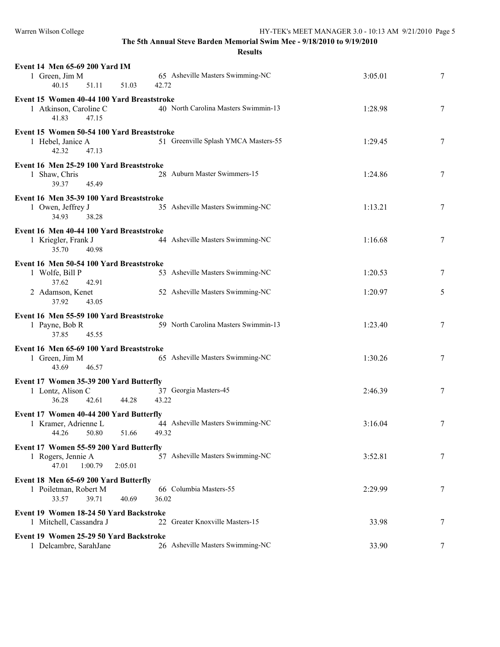| Event 14 Men 65-69 200 Yard IM<br>1 Green, Jim M<br>40.15<br>51.11<br>51.03                  | 65 Asheville Masters Swimming-NC<br>42.72 | 3:05.01 | 7 |
|----------------------------------------------------------------------------------------------|-------------------------------------------|---------|---|
| Event 15 Women 40-44 100 Yard Breaststroke<br>1 Atkinson, Caroline C<br>41.83<br>47.15       | 40 North Carolina Masters Swimmin-13      | 1:28.98 | 7 |
| Event 15 Women 50-54 100 Yard Breaststroke<br>1 Hebel, Janice A<br>42.32<br>47.13            | 51 Greenville Splash YMCA Masters-55      | 1:29.45 | 7 |
| Event 16 Men 25-29 100 Yard Breaststroke<br>1 Shaw, Chris<br>39.37<br>45.49                  | 28 Auburn Master Swimmers-15              | 1:24.86 | 7 |
| Event 16 Men 35-39 100 Yard Breaststroke<br>1 Owen, Jeffrey J<br>34.93<br>38.28              | 35 Asheville Masters Swimming-NC          | 1:13.21 | 7 |
| Event 16 Men 40-44 100 Yard Breaststroke<br>1 Kriegler, Frank J<br>35.70<br>40.98            | 44 Asheville Masters Swimming-NC          | 1:16.68 | 7 |
| Event 16 Men 50-54 100 Yard Breaststroke<br>1 Wolfe, Bill P<br>37.62<br>42.91                | 53 Asheville Masters Swimming-NC          | 1:20.53 | 7 |
| 2 Adamson, Kenet<br>37.92<br>43.05                                                           | 52 Asheville Masters Swimming-NC          | 1:20.97 | 5 |
| Event 16 Men 55-59 100 Yard Breaststroke<br>1 Payne, Bob R<br>37.85<br>45.55                 | 59 North Carolina Masters Swimmin-13      | 1:23.40 | 7 |
| Event 16 Men 65-69 100 Yard Breaststroke<br>1 Green, Jim M<br>46.57<br>43.69                 | 65 Asheville Masters Swimming-NC          | 1:30.26 | 7 |
| Event 17 Women 35-39 200 Yard Butterfly<br>1 Lontz, Alison C<br>36.28<br>42.61<br>44.28      | 37 Georgia Masters-45<br>43.22            | 2:46.39 | 7 |
| Event 17 Women 40-44 200 Yard Butterfly<br>1 Kramer, Adrienne L<br>44.26<br>50.80<br>51.66   | 44 Asheville Masters Swimming-NC<br>49.32 | 3:16.04 | 7 |
| Event 17 Women 55-59 200 Yard Butterfly<br>1 Rogers, Jennie A<br>47.01<br>1:00.79<br>2:05.01 | 57 Asheville Masters Swimming-NC          | 3:52.81 | 7 |
| Event 18 Men 65-69 200 Yard Butterfly<br>1 Poiletman, Robert M<br>33.57<br>39.71<br>40.69    | 66 Columbia Masters-55<br>36.02           | 2:29.99 | 7 |
| Event 19 Women 18-24 50 Yard Backstroke<br>1 Mitchell, Cassandra J                           | 22 Greater Knoxville Masters-15           | 33.98   | 7 |
| Event 19 Women 25-29 50 Yard Backstroke<br>1 Delcambre, SarahJane                            | 26 Asheville Masters Swimming-NC          | 33.90   | 7 |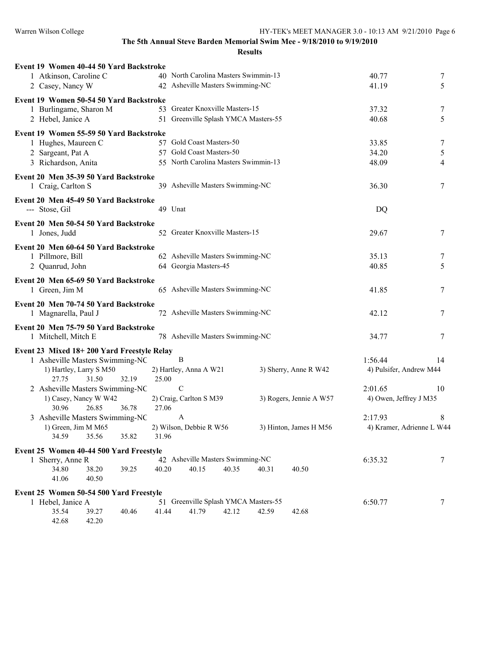| Event 19 Women 40-44 50 Yard Backstroke                     |                                                                                   |                           |
|-------------------------------------------------------------|-----------------------------------------------------------------------------------|---------------------------|
| 1 Atkinson, Caroline C                                      | 40 North Carolina Masters Swimmin-13                                              | 40.77<br>7                |
| 2 Casey, Nancy W                                            | 42 Asheville Masters Swimming-NC                                                  | 5<br>41.19                |
| Event 19 Women 50-54 50 Yard Backstroke                     |                                                                                   |                           |
| 1 Burlingame, Sharon M                                      | 53 Greater Knoxville Masters-15                                                   | 37.32<br>7                |
| 2 Hebel, Janice A                                           | 51 Greenville Splash YMCA Masters-55                                              | 5<br>40.68                |
| Event 19 Women 55-59 50 Yard Backstroke                     |                                                                                   |                           |
| 1 Hughes, Maureen C                                         | 57 Gold Coast Masters-50                                                          | 33.85<br>7                |
| 2 Sargeant, Pat A                                           | 57 Gold Coast Masters-50                                                          | 34.20<br>5                |
| 3 Richardson, Anita                                         | 55 North Carolina Masters Swimmin-13                                              | 48.09<br>4                |
| Event 20 Men 35-39 50 Yard Backstroke                       |                                                                                   |                           |
| 1 Craig, Carlton S                                          | 39 Asheville Masters Swimming-NC                                                  | 36.30<br>7                |
|                                                             |                                                                                   |                           |
| Event 20 Men 45-49 50 Yard Backstroke                       | 49 Unat                                                                           |                           |
| --- Stose, Gil                                              |                                                                                   | DQ                        |
| Event 20 Men 50-54 50 Yard Backstroke                       |                                                                                   |                           |
| 1 Jones, Judd                                               | 52 Greater Knoxville Masters-15                                                   | 7<br>29.67                |
| Event 20 Men 60-64 50 Yard Backstroke                       |                                                                                   |                           |
| 1 Pillmore, Bill                                            | 62 Asheville Masters Swimming-NC                                                  | 35.13<br>7                |
| 2 Quanrud, John                                             | 64 Georgia Masters-45                                                             | 5<br>40.85                |
| Event 20 Men 65-69 50 Yard Backstroke                       |                                                                                   |                           |
| 1 Green, Jim M                                              | 65 Asheville Masters Swimming-NC                                                  | 41.85<br>7                |
| Event 20 Men 70-74 50 Yard Backstroke                       |                                                                                   |                           |
| 1 Magnarella, Paul J                                        | 72 Asheville Masters Swimming-NC                                                  | 42.12<br>7                |
|                                                             |                                                                                   |                           |
| Event 20 Men 75-79 50 Yard Backstroke                       |                                                                                   |                           |
| 1 Mitchell, Mitch E                                         | 78 Asheville Masters Swimming-NC                                                  | 34.77<br>7                |
| Event 23 Mixed 18+200 Yard Freestyle Relay                  |                                                                                   |                           |
| 1 Asheville Masters Swimming-NC                             | B                                                                                 | 1:56.44<br>14             |
| 1) Hartley, Larry S M50                                     | 3) Sherry, Anne R W42<br>2) Hartley, Anna A W21                                   | 4) Pulsifer, Andrew M44   |
| 27.75<br>31.50<br>32.19                                     | 25.00                                                                             |                           |
| 2 Asheville Masters Swimming-NC                             | $\mathcal{C}$                                                                     | 2:01.65<br>10             |
| 1) Casey, Nancy W W42<br>30.96<br>26.85<br>36.78            | 2) Craig, Carlton S M39<br>3) Rogers, Jennie A W57<br>27.06                       | 4) Owen, Jeffrey J M35    |
| 3 Asheville Masters Swimming-NC                             | A                                                                                 | 2:17.93<br>8              |
| 1) Green, Jim M M65                                         | 2) Wilson, Debbie R W56<br>3) Hinton, James H M56                                 | 4) Kramer, Adrienne L W44 |
| 34.59<br>35.56<br>35.82                                     | 31.96                                                                             |                           |
|                                                             |                                                                                   |                           |
| Event 25 Women 40-44 500 Yard Freestyle<br>1 Sherry, Anne R | 42 Asheville Masters Swimming-NC                                                  | 6:35.32<br>7              |
| 34.80<br>38.20<br>39.25                                     | 40.20<br>40.15<br>40.35<br>40.50<br>40.31                                         |                           |
| 41.06<br>40.50                                              |                                                                                   |                           |
|                                                             |                                                                                   |                           |
| Event 25 Women 50-54 500 Yard Freestyle                     |                                                                                   |                           |
| 1 Hebel, Janice A<br>35.54<br>39.27<br>40.46                | 51 Greenville Splash YMCA Masters-55<br>41.44<br>41.79<br>42.12<br>42.59<br>42.68 | 6:50.77<br>7              |
| 42.68<br>42.20                                              |                                                                                   |                           |
|                                                             |                                                                                   |                           |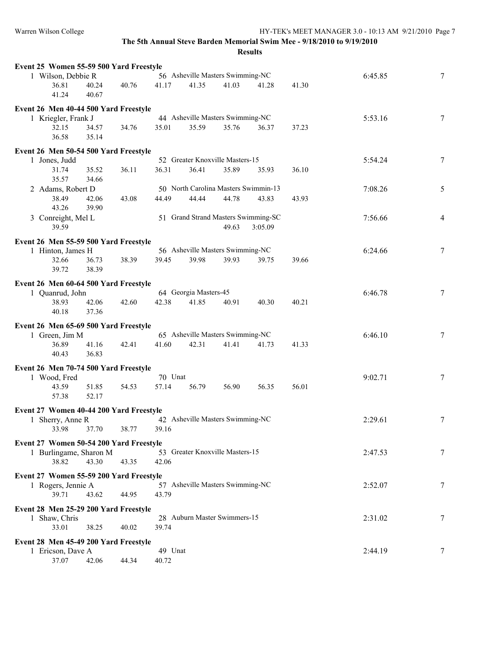| Event 25 Women 55-59 500 Yard Freestyle |       |       |         |                       |                                      |         |       |         |                 |
|-----------------------------------------|-------|-------|---------|-----------------------|--------------------------------------|---------|-------|---------|-----------------|
| 1 Wilson, Debbie R                      |       |       |         |                       | 56 Asheville Masters Swimming-NC     |         |       | 6:45.85 | $7\phantom{.0}$ |
| 36.81                                   | 40.24 | 40.76 | 41.17   | 41.35                 | 41.03                                | 41.28   | 41.30 |         |                 |
| 41.24                                   | 40.67 |       |         |                       |                                      |         |       |         |                 |
| Event 26 Men 40-44 500 Yard Freestyle   |       |       |         |                       |                                      |         |       |         |                 |
| 1 Kriegler, Frank J                     |       |       |         |                       | 44 Asheville Masters Swimming-NC     |         |       | 5:53.16 | 7               |
| 32.15                                   | 34.57 | 34.76 | 35.01   | 35.59                 | 35.76                                | 36.37   | 37.23 |         |                 |
| 36.58                                   | 35.14 |       |         |                       |                                      |         |       |         |                 |
|                                         |       |       |         |                       |                                      |         |       |         |                 |
| Event 26 Men 50-54 500 Yard Freestyle   |       |       |         |                       |                                      |         |       |         |                 |
| 1 Jones, Judd                           |       |       |         |                       | 52 Greater Knoxville Masters-15      |         |       | 5:54.24 | 7               |
| 31.74                                   | 35.52 | 36.11 | 36.31   | 36.41                 | 35.89                                | 35.93   | 36.10 |         |                 |
| 35.57                                   | 34.66 |       |         |                       |                                      |         |       |         |                 |
| 2 Adams, Robert D                       |       |       |         |                       | 50 North Carolina Masters Swimmin-13 |         |       | 7:08.26 | 5               |
| 38.49                                   | 42.06 | 43.08 | 44.49   | 44.44                 | 44.78                                | 43.83   | 43.93 |         |                 |
| 43.26                                   | 39.90 |       |         |                       |                                      |         |       |         |                 |
| 3 Conreight, Mel L                      |       |       |         |                       | 51 Grand Strand Masters Swimming-SC  |         |       | 7:56.66 | $\overline{4}$  |
| 39.59                                   |       |       |         |                       | 49.63                                | 3:05.09 |       |         |                 |
| Event 26 Men 55-59 500 Yard Freestyle   |       |       |         |                       |                                      |         |       |         |                 |
| 1 Hinton, James H                       |       |       |         |                       | 56 Asheville Masters Swimming-NC     |         |       | 6:24.66 | $\overline{7}$  |
| 32.66                                   | 36.73 | 38.39 | 39.45   | 39.98                 | 39.93                                | 39.75   | 39.66 |         |                 |
| 39.72                                   | 38.39 |       |         |                       |                                      |         |       |         |                 |
|                                         |       |       |         |                       |                                      |         |       |         |                 |
| Event 26 Men 60-64 500 Yard Freestyle   |       |       |         |                       |                                      |         |       |         |                 |
| 1 Quanrud, John                         |       |       |         | 64 Georgia Masters-45 |                                      |         |       | 6:46.78 | 7               |
| 38.93                                   | 42.06 | 42.60 | 42.38   | 41.85                 | 40.91                                | 40.30   | 40.21 |         |                 |
| 40.18                                   | 37.36 |       |         |                       |                                      |         |       |         |                 |
| Event 26 Men 65-69 500 Yard Freestyle   |       |       |         |                       |                                      |         |       |         |                 |
| 1 Green, Jim M                          |       |       |         |                       | 65 Asheville Masters Swimming-NC     |         |       | 6:46.10 | 7               |
| 36.89                                   | 41.16 | 42.41 | 41.60   | 42.31                 | 41.41                                | 41.73   | 41.33 |         |                 |
| 40.43                                   | 36.83 |       |         |                       |                                      |         |       |         |                 |
| Event 26 Men 70-74 500 Yard Freestyle   |       |       |         |                       |                                      |         |       |         |                 |
| 1 Wood, Fred                            |       |       | 70 Unat |                       |                                      |         |       | 9:02.71 | $\overline{7}$  |
| 43.59                                   | 51.85 | 54.53 | 57.14   | 56.79                 | 56.90                                | 56.35   | 56.01 |         |                 |
| 57.38                                   | 52.17 |       |         |                       |                                      |         |       |         |                 |
|                                         |       |       |         |                       |                                      |         |       |         |                 |
| Event 27 Women 40-44 200 Yard Freestyle |       |       |         |                       |                                      |         |       |         |                 |
| 1 Sherry, Anne R                        |       |       |         |                       | 42 Asheville Masters Swimming-NC     |         |       | 2:29.61 | 7               |
| 33.98 37.70                             |       | 38.77 | 39.16   |                       |                                      |         |       |         |                 |
| Event 27 Women 50-54 200 Yard Freestyle |       |       |         |                       |                                      |         |       |         |                 |
| 1 Burlingame, Sharon M                  |       |       |         |                       | 53 Greater Knoxville Masters-15      |         |       | 2:47.53 | 7               |
| 38.82                                   | 43.30 | 43.35 | 42.06   |                       |                                      |         |       |         |                 |
|                                         |       |       |         |                       |                                      |         |       |         |                 |
| Event 27 Women 55-59 200 Yard Freestyle |       |       |         |                       | 57 Asheville Masters Swimming-NC     |         |       |         |                 |
| 1 Rogers, Jennie A                      |       |       |         |                       |                                      |         |       | 2:52.07 | 7               |
| 39.71                                   | 43.62 | 44.95 | 43.79   |                       |                                      |         |       |         |                 |
| Event 28 Men 25-29 200 Yard Freestyle   |       |       |         |                       |                                      |         |       |         |                 |
| 1 Shaw, Chris                           |       |       |         |                       | 28 Auburn Master Swimmers-15         |         |       | 2:31.02 | 7               |
| 33.01                                   | 38.25 | 40.02 | 39.74   |                       |                                      |         |       |         |                 |
| Event 28 Men 45-49 200 Yard Freestyle   |       |       |         |                       |                                      |         |       |         |                 |
| 1 Ericson, Dave A                       |       |       | 49 Unat |                       |                                      |         |       | 2:44.19 | 7               |
| 37.07                                   | 42.06 | 44.34 | 40.72   |                       |                                      |         |       |         |                 |
|                                         |       |       |         |                       |                                      |         |       |         |                 |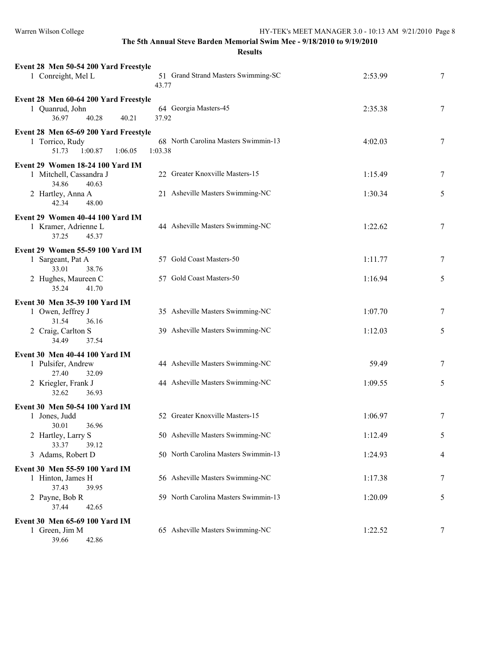| Event 28 Men 50-54 200 Yard Freestyle<br>1 Conreight, Mel L                                                                    | 51 Grand Strand Masters Swimming-SC<br>43.77                                                                | 2:53.99                       | 7                |
|--------------------------------------------------------------------------------------------------------------------------------|-------------------------------------------------------------------------------------------------------------|-------------------------------|------------------|
| Event 28 Men 60-64 200 Yard Freestyle<br>1 Quanrud, John<br>36.97<br>40.28<br>40.21                                            | 64 Georgia Masters-45<br>37.92                                                                              | 2:35.38                       | $\tau$           |
| Event 28 Men 65-69 200 Yard Freestyle<br>1 Torrico, Rudy<br>51.73<br>1:00.87<br>1:06.05                                        | 68 North Carolina Masters Swimmin-13<br>1:03.38                                                             | 4:02.03                       | $\tau$           |
| Event 29 Women 18-24 100 Yard IM<br>1 Mitchell, Cassandra J<br>34.86<br>40.63<br>2 Hartley, Anna A<br>42.34<br>48.00           | 22 Greater Knoxville Masters-15<br>21 Asheville Masters Swimming-NC                                         | 1:15.49<br>1:30.34            | 7<br>5           |
| Event 29 Women 40-44 100 Yard IM<br>1 Kramer, Adrienne L<br>37.25<br>45.37                                                     | 44 Asheville Masters Swimming-NC                                                                            | 1:22.62                       | $\tau$           |
| Event 29 Women 55-59 100 Yard IM<br>1 Sargeant, Pat A<br>33.01<br>38.76<br>2 Hughes, Maureen C<br>35.24<br>41.70               | 57 Gold Coast Masters-50<br>57 Gold Coast Masters-50                                                        | 1:11.77<br>1:16.94            | $\tau$<br>5      |
| Event 30 Men 35-39 100 Yard IM<br>1 Owen, Jeffrey J<br>31.54<br>36.16<br>2 Craig, Carlton S<br>34.49<br>37.54                  | 35 Asheville Masters Swimming-NC<br>39 Asheville Masters Swimming-NC                                        | 1:07.70<br>1:12.03            | 7<br>5           |
| Event 30 Men 40-44 100 Yard IM<br>1 Pulsifer, Andrew<br>27.40<br>32.09<br>2 Kriegler, Frank J<br>32.62<br>36.93                | 44 Asheville Masters Swimming-NC<br>44 Asheville Masters Swimming-NC                                        | 59.49<br>1:09.55              | $\tau$<br>5      |
| Event 30 Men 50-54 100 Yard IM<br>1 Jones, Judd<br>30.01<br>36.96<br>2 Hartley, Larry S<br>33.37<br>39.12<br>3 Adams, Robert D | 52 Greater Knoxville Masters-15<br>50 Asheville Masters Swimming-NC<br>50 North Carolina Masters Swimmin-13 | 1:06.97<br>1:12.49<br>1:24.93 | $\tau$<br>5<br>4 |
| Event 30 Men 55-59 100 Yard IM<br>1 Hinton, James H<br>37.43<br>39.95<br>2 Payne, Bob R<br>37.44<br>42.65                      | 56 Asheville Masters Swimming-NC<br>59 North Carolina Masters Swimmin-13                                    | 1:17.38<br>1:20.09            | 7<br>5           |
| Event 30 Men 65-69 100 Yard IM<br>1 Green, Jim M<br>39.66<br>42.86                                                             | 65 Asheville Masters Swimming-NC                                                                            | 1:22.52                       | 7                |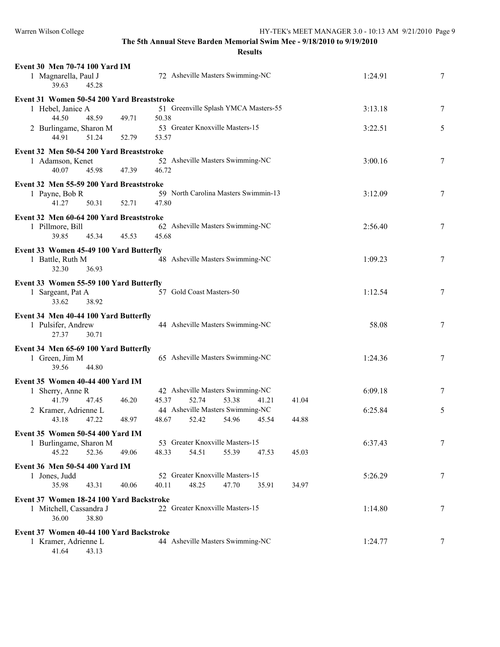| Event 30 Men 70-74 100 Yard IM                                   |                                               |         |   |
|------------------------------------------------------------------|-----------------------------------------------|---------|---|
| 1 Magnarella, Paul J<br>39.63<br>45.28                           | 72 Asheville Masters Swimming-NC              | 1:24.91 | 7 |
| Event 31 Women 50-54 200 Yard Breaststroke                       |                                               |         |   |
| 1 Hebel, Janice A                                                | 51 Greenville Splash YMCA Masters-55          | 3:13.18 | 7 |
| 44.50<br>48.59<br>49.71<br>2 Burlingame, Sharon M                | 50.38<br>53 Greater Knoxville Masters-15      | 3:22.51 | 5 |
| 51.24<br>44.91<br>52.79                                          | 53.57                                         |         |   |
| Event 32 Men 50-54 200 Yard Breaststroke                         |                                               |         |   |
| 1 Adamson, Kenet<br>40.07<br>45.98<br>47.39                      | 52 Asheville Masters Swimming-NC<br>46.72     | 3:00.16 | 7 |
|                                                                  |                                               |         |   |
| Event 32 Men 55-59 200 Yard Breaststroke                         |                                               |         |   |
| 1 Payne, Bob R<br>41.27<br>50.31<br>52.71                        | 59 North Carolina Masters Swimmin-13<br>47.80 | 3:12.09 | 7 |
| Event 32 Men 60-64 200 Yard Breaststroke                         |                                               |         |   |
| 1 Pillmore, Bill                                                 | 62 Asheville Masters Swimming-NC              | 2:56.40 | 7 |
| 39.85<br>45.34<br>45.53                                          | 45.68                                         |         |   |
|                                                                  |                                               |         |   |
| Event 33 Women 45-49 100 Yard Butterfly                          |                                               |         |   |
| 1 Battle, Ruth M                                                 | 48 Asheville Masters Swimming-NC              | 1:09.23 | 7 |
| 32.30<br>36.93                                                   |                                               |         |   |
| Event 33 Women 55-59 100 Yard Butterfly                          |                                               |         |   |
| 1 Sargeant, Pat A                                                | 57 Gold Coast Masters-50                      | 1:12.54 | 7 |
| 33.62<br>38.92                                                   |                                               |         |   |
|                                                                  |                                               |         |   |
|                                                                  |                                               |         |   |
| Event 34 Men 40-44 100 Yard Butterfly                            | 44 Asheville Masters Swimming-NC              | 58.08   | 7 |
| 1 Pulsifer, Andrew<br>27.37<br>30.71                             |                                               |         |   |
|                                                                  |                                               |         |   |
| Event 34 Men 65-69 100 Yard Butterfly                            |                                               |         |   |
| 1 Green, Jim M<br>39.56<br>44.80                                 | 65 Asheville Masters Swimming-NC              | 1:24.36 | 7 |
|                                                                  |                                               |         |   |
| Event 35 Women 40-44 400 Yard IM                                 |                                               |         |   |
| 1 Sherry, Anne R                                                 | 42 Asheville Masters Swimming-NC              | 6:09.18 | 7 |
| 41.79<br>47.45<br>46.20                                          | 45.37<br>52.74<br>53.38<br>41.21<br>41.04     |         |   |
| 2 Kramer, Adrienne L                                             | 44 Asheville Masters Swimming-NC              | 6:25.84 | 5 |
| 43.18<br>47.22<br>48.97                                          | 48.67<br>52.42<br>54.96<br>44.88<br>45.54     |         |   |
| Event 35 Women 50-54 400 Yard IM                                 |                                               |         |   |
| 1 Burlingame, Sharon M                                           | 53 Greater Knoxville Masters-15               | 6:37.43 | 7 |
| 52.36<br>45.22<br>49.06                                          | 54.51<br>48.33<br>55.39<br>47.53<br>45.03     |         |   |
| Event 36 Men 50-54 400 Yard IM                                   |                                               |         |   |
| 1 Jones, Judd                                                    | 52 Greater Knoxville Masters-15               | 5:26.29 | 7 |
| 35.98<br>43.31<br>40.06                                          | 48.25<br>47.70<br>40.11<br>35.91<br>34.97     |         |   |
| Event 37 Women 18-24 100 Yard Backstroke                         |                                               |         |   |
| 1 Mitchell, Cassandra J                                          | 22 Greater Knoxville Masters-15               | 1:14.80 | 7 |
| 36.00<br>38.80                                                   |                                               |         |   |
|                                                                  |                                               |         |   |
| Event 37 Women 40-44 100 Yard Backstroke<br>1 Kramer, Adrienne L | 44 Asheville Masters Swimming-NC              | 1:24.77 | 7 |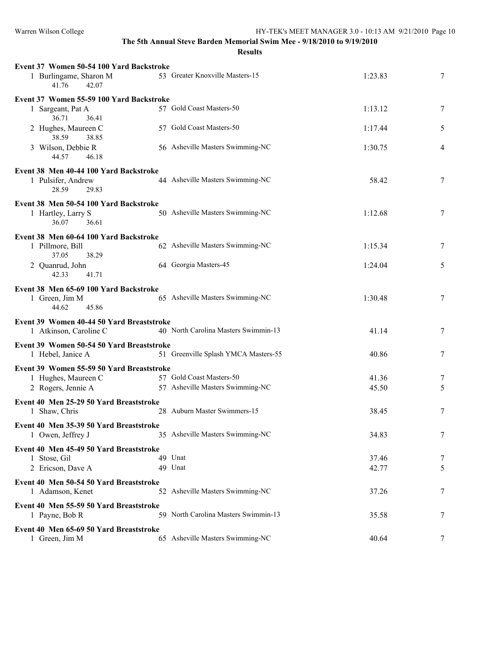| Event 37 Women 50-54 100 Yard Backstroke<br>1 Burlingame, Sharon M<br>41.76<br>42.07 | 53 Greater Knoxville Masters-15      | 1:23.83 | 7 |
|--------------------------------------------------------------------------------------|--------------------------------------|---------|---|
| Event 37 Women 55-59 100 Yard Backstroke                                             |                                      |         |   |
| 1 Sargeant, Pat A<br>36.71<br>36.41                                                  | 57 Gold Coast Masters-50             | 1:13.12 | 7 |
| 2 Hughes, Maureen C<br>38.59<br>38.85                                                | 57 Gold Coast Masters-50             | 1:17.44 | 5 |
| 3 Wilson, Debbie R<br>44.57<br>46.18                                                 | 56 Asheville Masters Swimming-NC     | 1:30.75 | 4 |
|                                                                                      |                                      |         |   |
| Event 38 Men 40-44 100 Yard Backstroke<br>1 Pulsifer, Andrew<br>28.59<br>29.83       | 44 Asheville Masters Swimming-NC     | 58.42   | 7 |
| Event 38 Men 50-54 100 Yard Backstroke                                               |                                      |         |   |
| 1 Hartley, Larry S<br>36.07<br>36.61                                                 | 50 Asheville Masters Swimming-NC     | 1:12.68 | 7 |
| Event 38 Men 60-64 100 Yard Backstroke                                               |                                      |         |   |
| 1 Pillmore, Bill<br>37.05<br>38.29                                                   | 62 Asheville Masters Swimming-NC     | 1:15.34 | 7 |
| 2 Quanrud, John<br>42.33<br>41.71                                                    | 64 Georgia Masters-45                | 1:24.04 | 5 |
|                                                                                      |                                      |         |   |
| Event 38 Men 65-69 100 Yard Backstroke<br>1 Green, Jim M<br>44.62<br>45.86           | 65 Asheville Masters Swimming-NC     | 1:30.48 | 7 |
| Event 39 Women 40-44 50 Yard Breaststroke                                            |                                      |         |   |
| 1 Atkinson, Caroline C                                                               | 40 North Carolina Masters Swimmin-13 | 41.14   | 7 |
| Event 39 Women 50-54 50 Yard Breaststroke                                            |                                      |         |   |
| 1 Hebel, Janice A                                                                    | 51 Greenville Splash YMCA Masters-55 | 40.86   | 7 |
| Event 39 Women 55-59 50 Yard Breaststroke                                            |                                      |         |   |
| 1 Hughes, Maureen C                                                                  | 57 Gold Coast Masters-50             | 41.36   | 7 |
|                                                                                      | 57 Asheville Masters Swimming-NC     |         |   |
| 2 Rogers, Jennie A                                                                   |                                      | 45.50   | 5 |
| Event 40 Men 25-29 50 Yard Breaststroke                                              |                                      |         |   |
| 1 Shaw, Chris                                                                        | 28 Auburn Master Swimmers-15         | 38.45   | 7 |
| Event 40 Men 35-39 50 Yard Breaststroke                                              |                                      |         |   |
| 1 Owen, Jeffrey J                                                                    | 35 Asheville Masters Swimming-NC     | 34.83   | 7 |
|                                                                                      |                                      |         |   |
| Event 40 Men 45-49 50 Yard Breaststroke                                              |                                      |         |   |
| 1 Stose, Gil                                                                         | 49 Unat                              | 37.46   | 7 |
| 2 Ericson, Dave A                                                                    | 49 Unat                              | 42.77   | 5 |
| Event 40 Men 50-54 50 Yard Breaststroke<br>1 Adamson, Kenet                          | 52 Asheville Masters Swimming-NC     | 37.26   | 7 |
| Event 40 Men 55-59 50 Yard Breaststroke                                              |                                      |         |   |
| 1 Payne, Bob R                                                                       | 59 North Carolina Masters Swimmin-13 | 35.58   | 7 |
| Event 40 Men 65-69 50 Yard Breaststroke                                              |                                      |         |   |
| 1 Green, Jim M                                                                       | 65 Asheville Masters Swimming-NC     | 40.64   | 7 |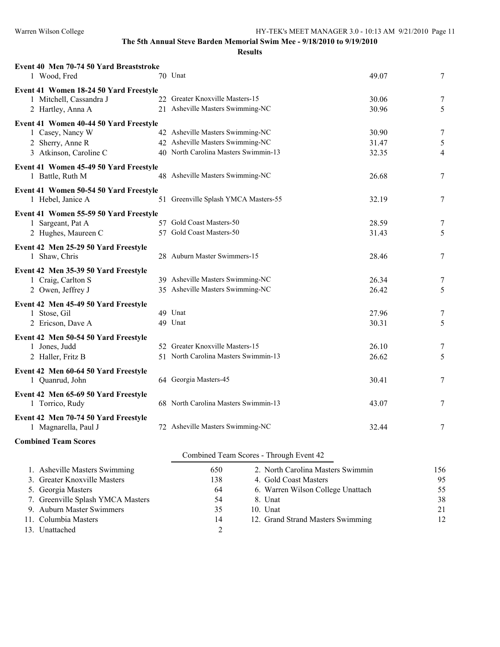| Event 40 Men 70-74 50 Yard Breaststroke<br>1 Wood, Fred      |    | 70 Unat                                  | 49.07 | 7   |
|--------------------------------------------------------------|----|------------------------------------------|-------|-----|
| Event 41 Women 18-24 50 Yard Freestyle                       |    |                                          |       |     |
| 1 Mitchell, Cassandra J                                      |    | 22 Greater Knoxville Masters-15          | 30.06 | 7   |
| 2 Hartley, Anna A                                            |    | 21 Asheville Masters Swimming-NC         | 30.96 | 5   |
|                                                              |    |                                          |       |     |
| Event 41 Women 40-44 50 Yard Freestyle<br>1 Casey, Nancy W   |    | 42 Asheville Masters Swimming-NC         | 30.90 | 7   |
| 2 Sherry, Anne R                                             |    | 42 Asheville Masters Swimming-NC         | 31.47 | 5   |
| 3 Atkinson, Caroline C                                       |    | 40 North Carolina Masters Swimmin-13     | 32.35 | 4   |
|                                                              |    |                                          |       |     |
| Event 41 Women 45-49 50 Yard Freestyle                       |    |                                          |       |     |
| 1 Battle, Ruth M                                             |    | 48 Asheville Masters Swimming-NC         | 26.68 | 7   |
| Event 41 Women 50-54 50 Yard Freestyle                       |    |                                          |       |     |
| 1 Hebel, Janice A                                            | 51 | Greenville Splash YMCA Masters-55        | 32.19 | 7   |
| Event 41 Women 55-59 50 Yard Freestyle                       |    |                                          |       |     |
| 1 Sargeant, Pat A                                            |    | 57 Gold Coast Masters-50                 | 28.59 | 7   |
| 2 Hughes, Maureen C                                          |    | 57 Gold Coast Masters-50                 | 31.43 | 5   |
| Event 42 Men 25-29 50 Yard Freestyle                         |    |                                          |       |     |
| 1 Shaw, Chris                                                |    | 28 Auburn Master Swimmers-15             | 28.46 | 7   |
|                                                              |    |                                          |       |     |
| Event 42 Men 35-39 50 Yard Freestyle<br>1 Craig, Carlton S   |    | 39 Asheville Masters Swimming-NC         | 26.34 | 7   |
| 2 Owen, Jeffrey J                                            |    | 35 Asheville Masters Swimming-NC         | 26.42 | 5   |
|                                                              |    |                                          |       |     |
| Event 42 Men 45-49 50 Yard Freestyle                         |    |                                          |       |     |
| 1 Stose, Gil                                                 |    | 49 Unat                                  | 27.96 | 7   |
| 2 Ericson, Dave A                                            |    | 49 Unat                                  | 30.31 | 5   |
| Event 42 Men 50-54 50 Yard Freestyle                         |    |                                          |       |     |
| 1 Jones, Judd                                                |    | 52 Greater Knoxville Masters-15          | 26.10 | 7   |
| 2 Haller, Fritz B                                            |    | 51 North Carolina Masters Swimmin-13     | 26.62 | 5   |
| Event 42 Men 60-64 50 Yard Freestyle                         |    |                                          |       |     |
| 1 Quanrud, John                                              |    | 64 Georgia Masters-45                    | 30.41 | 7   |
| Event 42 Men 65-69 50 Yard Freestyle                         |    |                                          |       |     |
| 1 Torrico, Rudy                                              |    | 68 North Carolina Masters Swimmin-13     | 43.07 | 7   |
|                                                              |    |                                          |       |     |
| Event 42 Men 70-74 50 Yard Freestyle<br>1 Magnarella, Paul J |    | 72 Asheville Masters Swimming-NC         | 32.44 | 7   |
|                                                              |    |                                          |       |     |
| <b>Combined Team Scores</b>                                  |    |                                          |       |     |
|                                                              |    | Combined Team Scores - Through Event 42  |       |     |
| 1. Asheville Masters Swimming                                |    | 650<br>2. North Carolina Masters Swimmin |       | 156 |
| 3 - Graatar Knovvilla Masters                                |    | 138<br>4. Gold Coast Masters             |       | 05  |

| 1. Asheville Masters Swimming     | 650 | 2. North Carolina Masters Swimmin | 156 |
|-----------------------------------|-----|-----------------------------------|-----|
| 3. Greater Knoxville Masters      | 138 | 4. Gold Coast Masters             | 95  |
| 5. Georgia Masters                | 64  | 6. Warren Wilson College Unattach | 55  |
| 7. Greenville Splash YMCA Masters | 54  | 8. Unat                           | 38  |
| 9. Auburn Master Swimmers         | 35  | $10.$ Unat                        | 21  |
| 11. Columbia Masters              | 14  | 12. Grand Strand Masters Swimming | 12  |
| 13. Unattached                    | C   |                                   |     |
|                                   |     |                                   |     |